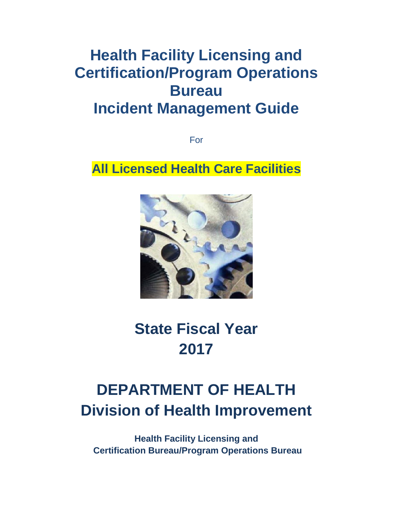## **Health Facility Licensing and Certification/Program Operations Bureau Incident Management Guide**

For

**All Licensed Health Care Facilities**



# **State Fiscal Year 2017**

## **DEPARTMENT OF HEALTH Division of Health Improvement**

**Health Facility Licensing and Certification Bureau/Program Operations Bureau**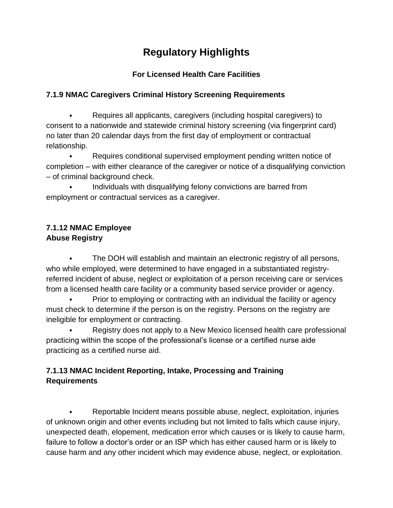### **Regulatory Highlights**

#### **For Licensed Health Care Facilities**

#### **7.1.9 NMAC Caregivers Criminal History Screening Requirements**

⦁ Requires all applicants, caregivers (including hospital caregivers) to consent to a nationwide and statewide criminal history screening (via fingerprint card) no later than 20 calendar days from the first day of employment or contractual relationship.

⦁ Requires conditional supervised employment pending written notice of completion – with either clearance of the caregiver or notice of a disqualifying conviction – of criminal background check.

⦁ Individuals with disqualifying felony convictions are barred from employment or contractual services as a caregiver.

#### **7.1.12 NMAC Employee Abuse Registry**

⦁ The DOH will establish and maintain an electronic registry of all persons, who while employed, were determined to have engaged in a substantiated registryreferred incident of abuse, neglect or exploitation of a person receiving care or services from a licensed health care facility or a community based service provider or agency.

• Prior to employing or contracting with an individual the facility or agency must check to determine if the person is on the registry. Persons on the registry are ineligible for employment or contracting.

⦁ Registry does not apply to a New Mexico licensed health care professional practicing within the scope of the professional's license or a certified nurse aide practicing as a certified nurse aid.

#### **7.1.13 NMAC Incident Reporting, Intake, Processing and Training Requirements**

⦁ Reportable Incident means possible abuse, neglect, exploitation, injuries of unknown origin and other events including but not limited to falls which cause injury, unexpected death, elopement, medication error which causes or is likely to cause harm, failure to follow a doctor's order or an ISP which has either caused harm or is likely to cause harm and any other incident which may evidence abuse, neglect, or exploitation.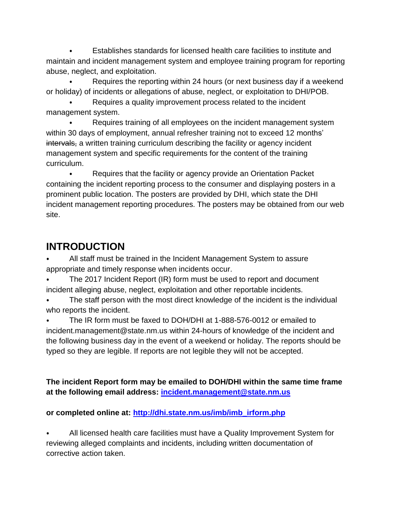⦁ Establishes standards for licensed health care facilities to institute and maintain and incident management system and employee training program for reporting abuse, neglect, and exploitation.

Requires the reporting within 24 hours (or next business day if a weekend or holiday) of incidents or allegations of abuse, neglect, or exploitation to DHI/POB.

Requires a quality improvement process related to the incident management system.

⦁ Requires training of all employees on the incident management system within 30 days of employment, annual refresher training not to exceed 12 months' intervals, a written training curriculum describing the facility or agency incident management system and specific requirements for the content of the training curriculum.

Requires that the facility or agency provide an Orientation Packet containing the incident reporting process to the consumer and displaying posters in a prominent public location. The posters are provided by DHI, which state the DHI incident management reporting procedures. The posters may be obtained from our web site.

### **INTRODUCTION**

All staff must be trained in the Incident Management System to assure appropriate and timely response when incidents occur.

⦁ The 2017 Incident Report (IR) form must be used to report and document incident alleging abuse, neglect, exploitation and other reportable incidents.

The staff person with the most direct knowledge of the incident is the individual who reports the incident.

⦁ The IR form must be faxed to DOH/DHI at 1-888-576-0012 or emailed to incident.management@state.nm.us within 24-hours of knowledge of the incident and the following business day in the event of a weekend or holiday. The reports should be typed so they are legible. If reports are not legible they will not be accepted.

**The incident Report form may be emailed to DOH/DHI within the same time frame at the following email address: [incident.management@state.nm.us](mailto:incident.management@state.nm.us)**

#### **or completed online at: [http://dhi.state.nm.us/imb/imb\\_irform.php](http://dhi.state.nm.us/imb/imb_irform.php)**

⦁ All licensed health care facilities must have a Quality Improvement System for reviewing alleged complaints and incidents, including written documentation of corrective action taken.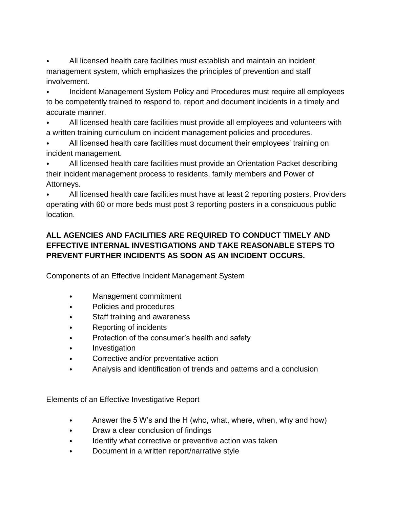⦁ All licensed health care facilities must establish and maintain an incident management system, which emphasizes the principles of prevention and staff involvement.

⦁ Incident Management System Policy and Procedures must require all employees to be competently trained to respond to, report and document incidents in a timely and accurate manner.

⦁ All licensed health care facilities must provide all employees and volunteers with a written training curriculum on incident management policies and procedures.

⦁ All licensed health care facilities must document their employees' training on incident management.

⦁ All licensed health care facilities must provide an Orientation Packet describing their incident management process to residents, family members and Power of Attorneys.

⦁ All licensed health care facilities must have at least 2 reporting posters, Providers operating with 60 or more beds must post 3 reporting posters in a conspicuous public location.

#### **ALL AGENCIES AND FACILITIES ARE REQUIRED TO CONDUCT TIMELY AND EFFECTIVE INTERNAL INVESTIGATIONS AND TAKE REASONABLE STEPS TO PREVENT FURTHER INCIDENTS AS SOON AS AN INCIDENT OCCURS.**

Components of an Effective Incident Management System

- ⦁ Management commitment
- ⦁ Policies and procedures
- Staff training and awareness
- ⦁ Reporting of incidents
- ⦁ Protection of the consumer's health and safety
- ⦁ Investigation
- ⦁ Corrective and/or preventative action
- Analysis and identification of trends and patterns and a conclusion

Elements of an Effective Investigative Report

- Answer the 5 W's and the H (who, what, where, when, why and how)
- ⦁ Draw a clear conclusion of findings
- ⦁ Identify what corrective or preventive action was taken
- ⦁ Document in a written report/narrative style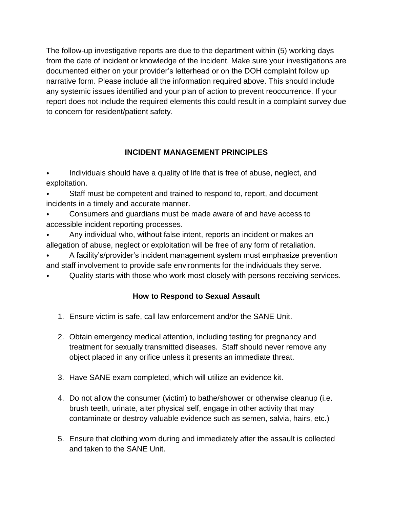The follow-up investigative reports are due to the department within (5) working days from the date of incident or knowledge of the incident. Make sure your investigations are documented either on your provider's letterhead or on the DOH complaint follow up narrative form. Please include all the information required above. This should include any systemic issues identified and your plan of action to prevent reoccurrence. If your report does not include the required elements this could result in a complaint survey due to concern for resident/patient safety.

#### **INCIDENT MANAGEMENT PRINCIPLES**

Individuals should have a quality of life that is free of abuse, neglect, and exploitation.

Staff must be competent and trained to respond to, report, and document incidents in a timely and accurate manner.

- ⦁ Consumers and guardians must be made aware of and have access to accessible incident reporting processes.
- Any individual who, without false intent, reports an incident or makes an allegation of abuse, neglect or exploitation will be free of any form of retaliation.
- A facility's/provider's incident management system must emphasize prevention and staff involvement to provide safe environments for the individuals they serve.
- Quality starts with those who work most closely with persons receiving services.

#### **How to Respond to Sexual Assault**

- 1. Ensure victim is safe, call law enforcement and/or the SANE Unit.
- 2. Obtain emergency medical attention, including testing for pregnancy and treatment for sexually transmitted diseases. Staff should never remove any object placed in any orifice unless it presents an immediate threat.
- 3. Have SANE exam completed, which will utilize an evidence kit.
- 4. Do not allow the consumer (victim) to bathe/shower or otherwise cleanup (i.e. brush teeth, urinate, alter physical self, engage in other activity that may contaminate or destroy valuable evidence such as semen, salvia, hairs, etc.)
- 5. Ensure that clothing worn during and immediately after the assault is collected and taken to the SANE Unit.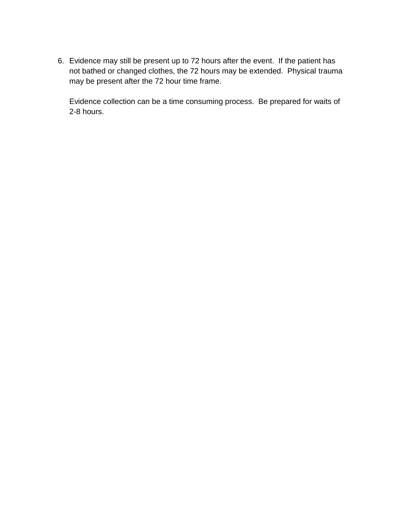6. Evidence may still be present up to 72 hours after the event. If the patient has not bathed or changed clothes, the 72 hours may be extended. Physical trauma may be present after the 72 hour time frame.

Evidence collection can be a time consuming process. Be prepared for waits of 2-8 hours.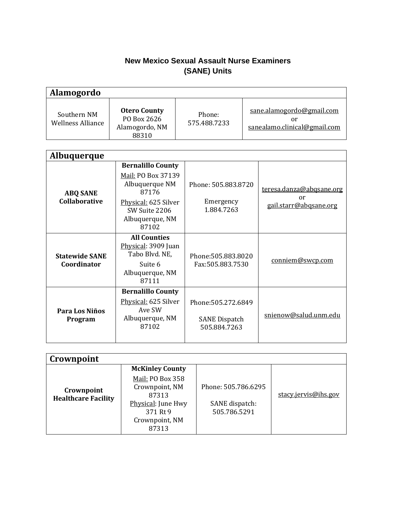#### **New Mexico Sexual Assault Nurse Examiners (SANE) Units**

| <b>Alamogordo</b>                       |                                                               |                        |                                                                 |
|-----------------------------------------|---------------------------------------------------------------|------------------------|-----------------------------------------------------------------|
| Southern NM<br><b>Wellness Alliance</b> | <b>Otero County</b><br>PO Box 2626<br>Alamogordo, NM<br>88310 | Phone:<br>575.488.7233 | sane.alamogordo@gmail.com<br>or<br>sanealamo.clinical@gmail.com |

| <b>Albuquerque</b>                      |                                                                                                                                                |                                                             |                                                          |
|-----------------------------------------|------------------------------------------------------------------------------------------------------------------------------------------------|-------------------------------------------------------------|----------------------------------------------------------|
| <b>ABQ SANE</b><br><b>Collaborative</b> | <b>Bernalillo County</b><br>Mail: PO Box 37139<br>Albuquerque NM<br>87176<br>Physical: 625 Silver<br>SW Suite 2206<br>Albuquerque, NM<br>87102 | Phone: 505.883.8720<br>Emergency<br>1.884.7263              | teresa.danza@abqsane.org<br>or<br>gail.starr@abgsane.org |
| <b>Statewide SANE</b><br>Coordinator    | <b>All Counties</b><br>Physical: 3909 Juan<br>Tabo Blvd. NE,<br>Suite 6<br>Albuquerque, NM<br>87111                                            | Phone: 505.883.8020<br>Fax:505.883.7530                     | conniem@swcp.com                                         |
| Para Los Niños<br>Program               | <b>Bernalillo County</b><br>Physical: 625 Silver<br>Ave SW<br>Albuquerque, NM<br>87102                                                         | Phone: 505.272.6849<br><b>SANE Dispatch</b><br>505.884.7263 | snienow@salud.unm.edu                                    |

| Crownpoint                               |                                                                                                          |                                                       |                      |
|------------------------------------------|----------------------------------------------------------------------------------------------------------|-------------------------------------------------------|----------------------|
|                                          | <b>McKinley County</b>                                                                                   |                                                       |                      |
| Crownpoint<br><b>Healthcare Facility</b> | Mail: PO Box 358<br>Crownpoint, NM<br>87313<br>Physical: June Hwy<br>371 Rt 9<br>Crownpoint, NM<br>87313 | Phone: 505.786.6295<br>SANE dispatch:<br>505.786.5291 | stacy.jervis@ihs.gov |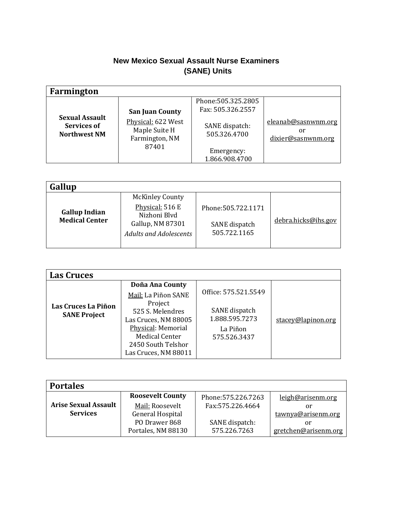#### **New Mexico Sexual Assault Nurse Examiners (SANE) Units**

| Farmington                                                  |                                                                                          |                                                                                                            |                                                 |
|-------------------------------------------------------------|------------------------------------------------------------------------------------------|------------------------------------------------------------------------------------------------------------|-------------------------------------------------|
| <b>Sexual Assault</b><br>Services of<br><b>Northwest NM</b> | <b>San Juan County</b><br>Physical: 622 West<br>Maple Suite H<br>Farmington, NM<br>87401 | Phone: 505.325.2805<br>Fax: 505.326.2557<br>SANE dispatch:<br>505.326.4700<br>Emergency:<br>1.866.908.4700 | eleanab@sasnwnm.org<br>or<br>dixier@sasnwnm.org |

| Gallup                                        |                                                                   |                               |                     |
|-----------------------------------------------|-------------------------------------------------------------------|-------------------------------|---------------------|
|                                               | <b>McKinley County</b><br>Physical: 516 E                         | Phone: 505.722.1171           |                     |
| <b>Gallup Indian</b><br><b>Medical Center</b> | Nizhoni Blvd<br>Gallup, NM 87301<br><b>Adults and Adolescents</b> | SANE dispatch<br>505.722.1165 | debra.hicks@ihs.gov |

| <b>Las Cruces</b>                          |                                                                                                                                                  |                                                             |                    |
|--------------------------------------------|--------------------------------------------------------------------------------------------------------------------------------------------------|-------------------------------------------------------------|--------------------|
|                                            | Doña Ana County<br>Mail: La Piñon SANE                                                                                                           | Office: 575.521.5549                                        |                    |
| Las Cruces La Piñon<br><b>SANE Project</b> | Project<br>525 S. Melendres<br>Las Cruces, NM 88005<br>Physical: Memorial<br><b>Medical Center</b><br>2450 South Telshor<br>Las Cruces, NM 88011 | SANE dispatch<br>1.888.595.7273<br>La Piñon<br>575.526.3437 | stacey@lapinon.org |

| <b>Portales</b>             |                         |                     |                      |  |  |
|-----------------------------|-------------------------|---------------------|----------------------|--|--|
|                             | <b>Roosevelt County</b> | Phone: 575.226.7263 | leigh@arisenm.org    |  |  |
| <b>Arise Sexual Assault</b> | Mail: Roosevelt         | Fax: 575.226.4664   | or                   |  |  |
| <b>Services</b>             | General Hospital        |                     | tawnya@arisenm.org   |  |  |
|                             | PO Drawer 868           | SANE dispatch:      | or                   |  |  |
|                             | Portales, NM 88130      | 575.226.7263        | gretchen@arisenm.org |  |  |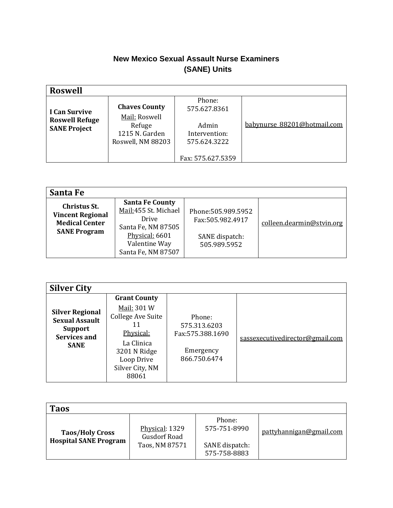#### **New Mexico Sexual Assault Nurse Examiners (SANE) Units**

| <b>Roswell</b>                               |                                                                |                                                             |                             |  |  |
|----------------------------------------------|----------------------------------------------------------------|-------------------------------------------------------------|-----------------------------|--|--|
| I Can Survive                                | <b>Chaves County</b>                                           | Phone:<br>575.627.8361                                      |                             |  |  |
| <b>Roswell Refuge</b><br><b>SANE Project</b> | Mail: Roswell<br>Refuge<br>1215 N. Garden<br>Roswell, NM 88203 | Admin<br>Intervention:<br>575.624.3222<br>Fax: 575.627.5359 | babynurse_88201@hotmail.com |  |  |

| Santa Fe                                                                                       |                                                                                                                                        |                                                                           |                           |
|------------------------------------------------------------------------------------------------|----------------------------------------------------------------------------------------------------------------------------------------|---------------------------------------------------------------------------|---------------------------|
| <b>Christus St.</b><br><b>Vincent Regional</b><br><b>Medical Center</b><br><b>SANE Program</b> | <b>Santa Fe County</b><br>Mail:455 St. Michael<br>Drive<br>Santa Fe, NM 87505<br>Physical: 6601<br>Valentine Way<br>Santa Fe, NM 87507 | Phone: 505.989.5952<br>Fax:505.982.4917<br>SANE dispatch:<br>505.989.5952 | colleen.dearmin@stvin.org |

| <b>Silver City</b>                                                                               |                                                                                                                                                    |                                                                          |                                 |
|--------------------------------------------------------------------------------------------------|----------------------------------------------------------------------------------------------------------------------------------------------------|--------------------------------------------------------------------------|---------------------------------|
| <b>Silver Regional</b><br><b>Sexual Assault</b><br><b>Support</b><br>Services and<br><b>SANE</b> | <b>Grant County</b><br>Mail: 301 W<br>College Ave Suite<br>11<br>Physical:<br>La Clinica<br>3201 N Ridge<br>Loop Drive<br>Silver City, NM<br>88061 | Phone:<br>575.313.6203<br>Fax: 575.388.1690<br>Emergency<br>866.750.6474 | sassexecutivedirector@gmail.com |

| <b>Taos</b>                                            |                                                         |                                                          |                         |
|--------------------------------------------------------|---------------------------------------------------------|----------------------------------------------------------|-------------------------|
| <b>Taos/Holy Cross</b><br><b>Hospital SANE Program</b> | Physical: 1329<br><b>Gusdorf Road</b><br>Taos, NM 87571 | Phone:<br>575-751-8990<br>SANE dispatch:<br>575-758-8883 | pattyhannigan@gmail.com |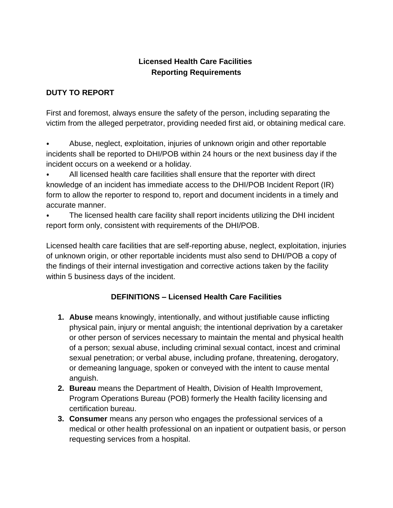#### **Licensed Health Care Facilities Reporting Requirements**

#### **DUTY TO REPORT**

First and foremost, always ensure the safety of the person, including separating the victim from the alleged perpetrator, providing needed first aid, or obtaining medical care.

⦁ Abuse, neglect, exploitation, injuries of unknown origin and other reportable incidents shall be reported to DHI/POB within 24 hours or the next business day if the incident occurs on a weekend or a holiday.

⦁ All licensed health care facilities shall ensure that the reporter with direct knowledge of an incident has immediate access to the DHI/POB Incident Report (IR) form to allow the reporter to respond to, report and document incidents in a timely and accurate manner.

The licensed health care facility shall report incidents utilizing the DHI incident report form only, consistent with requirements of the DHI/POB.

Licensed health care facilities that are self-reporting abuse, neglect, exploitation, injuries of unknown origin, or other reportable incidents must also send to DHI/POB a copy of the findings of their internal investigation and corrective actions taken by the facility within 5 business days of the incident.

#### **DEFINITIONS – Licensed Health Care Facilities**

- **1. Abuse** means knowingly, intentionally, and without justifiable cause inflicting physical pain, injury or mental anguish; the intentional deprivation by a caretaker or other person of services necessary to maintain the mental and physical health of a person; sexual abuse, including criminal sexual contact, incest and criminal sexual penetration; or verbal abuse, including profane, threatening, derogatory, or demeaning language, spoken or conveyed with the intent to cause mental anguish.
- **2. Bureau** means the Department of Health, Division of Health Improvement, Program Operations Bureau (POB) formerly the Health facility licensing and certification bureau.
- **3. Consumer** means any person who engages the professional services of a medical or other health professional on an inpatient or outpatient basis, or person requesting services from a hospital.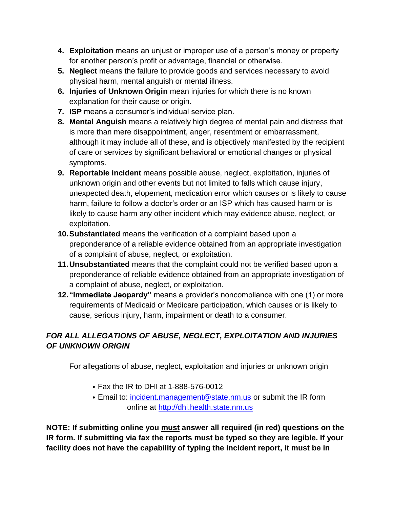- **4. Exploitation** means an unjust or improper use of a person's money or property for another person's profit or advantage, financial or otherwise.
- **5. Neglect** means the failure to provide goods and services necessary to avoid physical harm, mental anguish or mental illness.
- **6. Injuries of Unknown Origin** mean injuries for which there is no known explanation for their cause or origin.
- **7. ISP** means a consumer's individual service plan.
- **8. Mental Anguish** means a relatively high degree of mental pain and distress that is more than mere disappointment, anger, resentment or embarrassment, although it may include all of these, and is objectively manifested by the recipient of care or services by significant behavioral or emotional changes or physical symptoms.
- **9. Reportable incident** means possible abuse, neglect, exploitation, injuries of unknown origin and other events but not limited to falls which cause injury, unexpected death, elopement, medication error which causes or is likely to cause harm, failure to follow a doctor's order or an ISP which has caused harm or is likely to cause harm any other incident which may evidence abuse, neglect, or exploitation.
- **10.Substantiated** means the verification of a complaint based upon a preponderance of a reliable evidence obtained from an appropriate investigation of a complaint of abuse, neglect, or exploitation.
- **11.Unsubstantiated** means that the complaint could not be verified based upon a preponderance of reliable evidence obtained from an appropriate investigation of a complaint of abuse, neglect, or exploitation.
- **12."Immediate Jeopardy"** means a provider's noncompliance with one (1) or more requirements of Medicaid or Medicare participation, which causes or is likely to cause, serious injury, harm, impairment or death to a consumer.

#### *FOR ALL ALLEGATIONS OF ABUSE, NEGLECT, EXPLOITATION AND INJURIES OF UNKNOWN ORIGIN*

For allegations of abuse, neglect, exploitation and injuries or unknown origin

- ⦁ Fax the IR to DHI at 1-888-576-0012
- ⦁ Email to: [incident.management@state.nm.us](mailto:incident.management@state.nm.us) or submit the IR form online at [http://dhi.health.state.nm.us](http://dhi.health.state.nm.us/)

**NOTE: If submitting online you must answer all required (in red) questions on the IR form. If submitting via fax the reports must be typed so they are legible. If your facility does not have the capability of typing the incident report, it must be in**